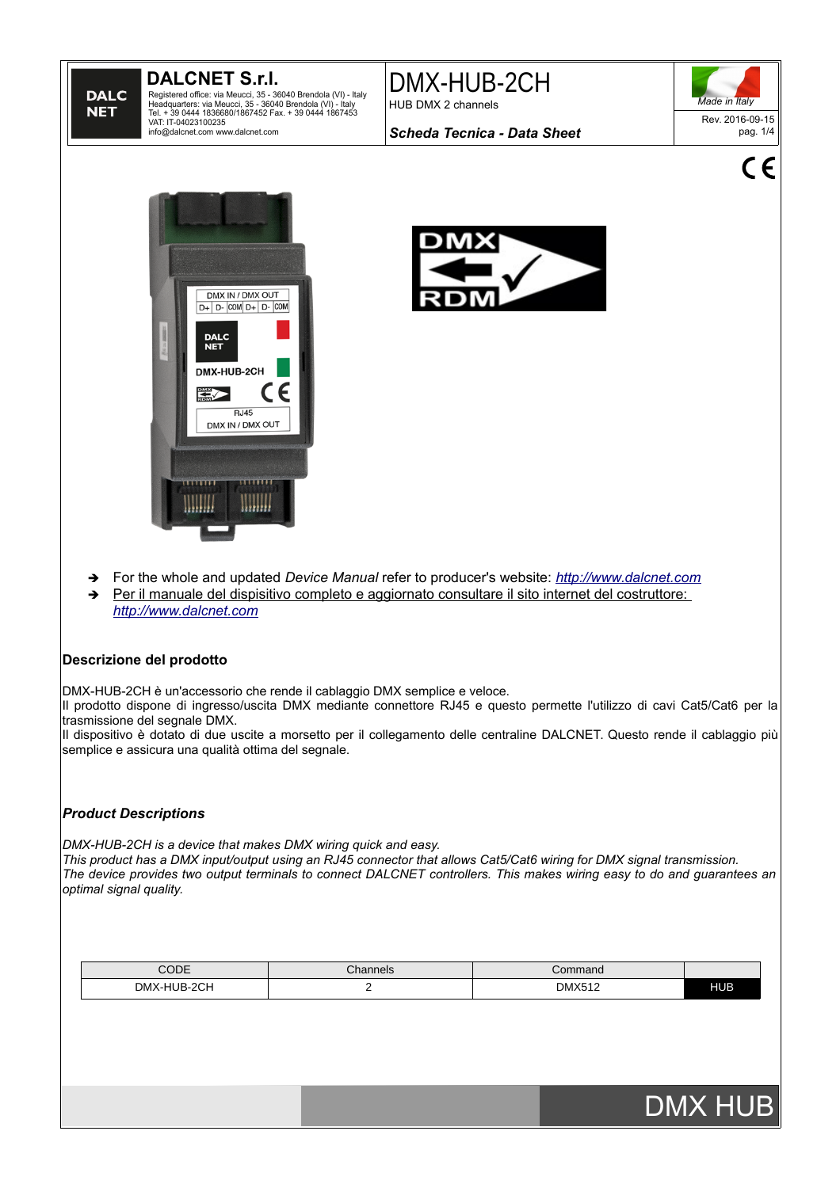## **DALCNET S.r.l.**

**DALC NET** 

Registered office: via Meucci, 35 - 36040 Brendola (VI) - Italy<br>Headquarters: via Meucci, 35 - 36040 Brendola (VI) - Italy<br>Tel. + 39 0444 1836680/1867452 Fax. + 39 0444 1867453<br>VAT: IT-04023100235<br>info@dalcnet.com www.dalc

DMX-HUB-2CH HUB DMX 2 channels



 $\epsilon$ 

*Scheda Tecnica - Data Sheet*





- ➔ For the whole and updated *Device Manual* refer to producer's website: *[http://www.dalcnet.com](http://www.dalcnet.com/)*
- ➔ Per il manuale del dispisitivo completo e aggiornato consultare il sito internet del costruttore: *[http://www.dalcnet.com](http://www.dalcnet.com/)*

## **Descrizione del prodotto**

DMX-HUB-2CH è un'accessorio che rende il cablaggio DMX semplice e veloce.

Il prodotto dispone di ingresso/uscita DMX mediante connettore RJ45 e questo permette l'utilizzo di cavi Cat5/Cat6 per la trasmissione del segnale DMX.

Il dispositivo è dotato di due uscite a morsetto per il collegamento delle centraline DALCNET. Questo rende il cablaggio più semplice e assicura una qualità ottima del segnale.

## *Product Descriptions*

*DMX-HUB-2CH is a device that makes DMX wiring quick and easy.*

*This product has a DMX input/output using an RJ45 connector that allows Cat5/Cat6 wiring for DMX signal transmission. The device provides two output terminals to connect DALCNET controllers. This makes wiring easy to do and guarantees an optimal signal quality.*

| CODE                                 | Channels | `ommand       |     |
|--------------------------------------|----------|---------------|-----|
| <b>HUB-2CH</b><br><b>DMX</b><br>____ |          | <b>DMX512</b> | HUB |

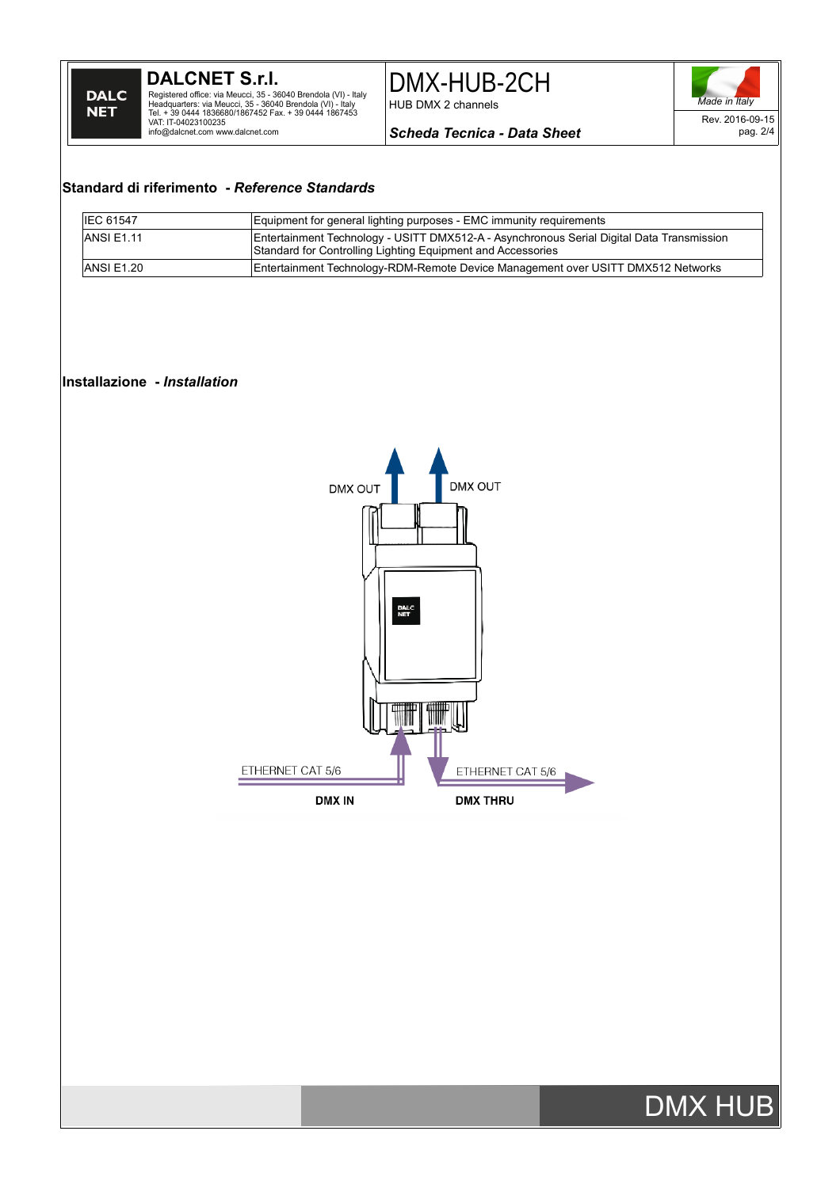**DALCNET S.r.l.** Registered office: via Meucci, 35 - 36040 Brendola (VI) - Italy<br>Headquarters: via Meucci, 35 - 36040 Brendola (VI) - Italy<br>Tel. + 39 0444 1836680/1867452 Fax. + 39 0444 1867453<br>VAT: IT-04023100235<br>info@dalcnet.com www.dalc DMX-HUB-2CH HUB DMX 2 channels



*Scheda Tecnica - Data Sheet*

## **Standard di riferimento -** *Reference Standards*

| <b>IEC 61547</b> | Equipment for general lighting purposes - EMC immunity requirements                                                                                      |  |
|------------------|----------------------------------------------------------------------------------------------------------------------------------------------------------|--|
| ANSI E1.11       | Entertainment Technology - USITT DMX512-A - Asynchronous Serial Digital Data Transmission<br>Standard for Controlling Lighting Equipment and Accessories |  |
| IANSI E1.20      | Entertainment Technology-RDM-Remote Device Management over USITT DMX512 Networks                                                                         |  |

### **Installazione -** *Installation*



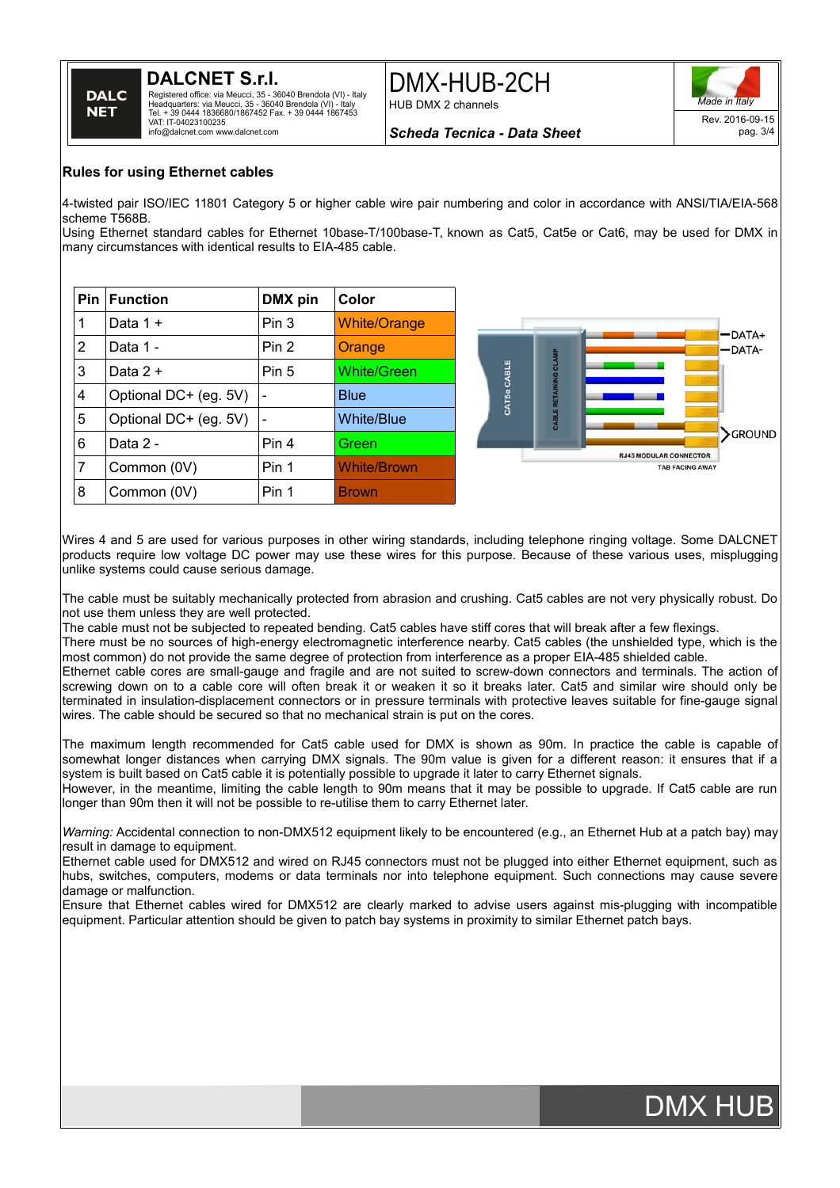# **DALCNET S.r.l.**



Registered office: via Meucci, 35 - 36040 Brendola (VI) - Italy Headquarters: via Meucci, 35 - 36040 Brendola (VI) - Italy Tel. + 39 0444 1836680/1867452 Fax. + 39 0444 1867453 VAT: IT-04023100235 info@dalcnet.com www.dalcnet.com

DMX-HUB-2CH HUB DMX 2 channels



*Scheda Tecnica - Data Sheet*

### **Rules for using Ethernet cables**

4-twisted pair ISO/IEC 11801 Category 5 or higher cable wire pair numbering and color in accordance with ANSI/TIA/EIA-568 scheme T568B.

Using Ethernet standard cables for Ethernet 10base-T/100base-T, known as Cat5, Cat5e or Cat6, may be used for DMX in many circumstances with identical results to EIA-485 cable.

|   | <b>Pin   Function</b> | DMX pin | Color               |
|---|-----------------------|---------|---------------------|
| 1 | Data 1 +              | Pin 3   | <b>White/Orange</b> |
| 2 | Data 1 -              | Pin 2   | Orange              |
| 3 | Data $2 +$            | Pin 5   | <b>White/Green</b>  |
| 4 | Optional DC+ (eg. 5V) |         | <b>Blue</b>         |
| 5 | Optional DC+ (eg. 5V) |         | <b>White/Blue</b>   |
| 6 | Data 2 -              | Pin 4   | Green               |
| 7 | Common (0V)           | Pin 1   | <b>White/Brown</b>  |
| 8 | Common (0V)           | Pin 1   | <b>Brown</b>        |



Wires 4 and 5 are used for various purposes in other wiring standards, including telephone ringing voltage. Some DALCNET products require low voltage DC power may use these wires for this purpose. Because of these various uses, misplugging unlike systems could cause serious damage.

The cable must be suitably mechanically protected from abrasion and crushing. Cat5 cables are not very physically robust. Do not use them unless they are well protected.

The cable must not be subjected to repeated bending. Cat5 cables have stiff cores that will break after a few flexings.

There must be no sources of high-energy electromagnetic interference nearby. Cat5 cables (the unshielded type, which is the most common) do not provide the same degree of protection from interference as a proper EIA-485 shielded cable.

Ethernet cable cores are small-gauge and fragile and are not suited to screw-down connectors and terminals. The action of screwing down on to a cable core will often break it or weaken it so it breaks later. Cat5 and similar wire should only be terminated in insulation-displacement connectors or in pressure terminals with protective leaves suitable for fine-gauge signal wires. The cable should be secured so that no mechanical strain is put on the cores.

The maximum length recommended for Cat5 cable used for DMX is shown as 90m. In practice the cable is capable of somewhat longer distances when carrying DMX signals. The 90m value is given for a different reason: it ensures that if a system is built based on Cat5 cable it is potentially possible to upgrade it later to carry Ethernet signals.

However, in the meantime, limiting the cable length to 90m means that it may be possible to upgrade. If Cat5 cable are run longer than 90m then it will not be possible to re-utilise them to carry Ethernet later.

*Warning:* Accidental connection to non-DMX512 equipment likely to be encountered (e.g., an Ethernet Hub at a patch bay) may result in damage to equipment.

Ethernet cable used for DMX512 and wired on RJ45 connectors must not be plugged into either Ethernet equipment, such as hubs, switches, computers, modems or data terminals nor into telephone equipment. Such connections may cause severe damage or malfunction.

Ensure that Ethernet cables wired for DMX512 are clearly marked to advise users against mis-plugging with incompatible equipment. Particular attention should be given to patch bay systems in proximity to similar Ethernet patch bays.